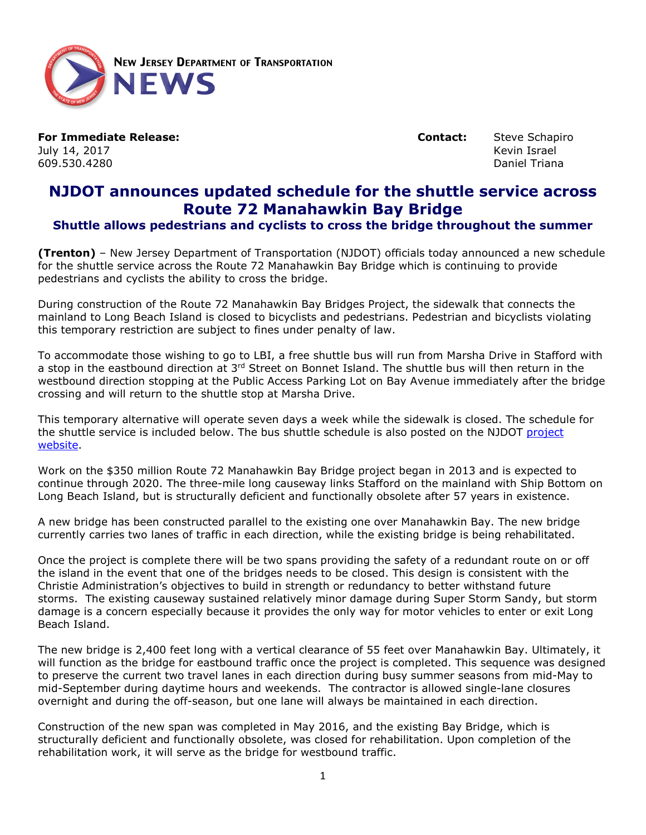

**For Immediate Release: Contact:** Steve Schapiro **Contact:** Steve Schapiro **Contact:** Steve Schapiro **Index** July 14, 2017 Kevin Israel 609.530.4280

## **NJDOT announces updated schedule for the shuttle service across Route 72 Manahawkin Bay Bridge**

## **Shuttle allows pedestrians and cyclists to cross the bridge throughout the summer**

**(Trenton)** – New Jersey Department of Transportation (NJDOT) officials today announced a new schedule for the shuttle service across the Route 72 Manahawkin Bay Bridge which is continuing to provide pedestrians and cyclists the ability to cross the bridge.

During construction of the Route 72 Manahawkin Bay Bridges Project, the sidewalk that connects the mainland to Long Beach Island is closed to bicyclists and pedestrians. Pedestrian and bicyclists violating this temporary restriction are subject to fines under penalty of law.

To accommodate those wishing to go to LBI, a free shuttle bus will run from Marsha Drive in Stafford with a stop in the eastbound direction at  $3<sup>rd</sup>$  Street on Bonnet Island. The shuttle bus will then return in the westbound direction stopping at the Public Access Parking Lot on Bay Avenue immediately after the bridge crossing and will return to the shuttle stop at Marsha Drive.

This temporary alternative will operate seven days a week while the sidewalk is closed. The schedule for the shuttle service is included below. The bus shuttle schedule is also posted on the NJDOT project [website.](http://www.state.nj.us/transportation/commuter/roads/rte72manahawkinbaybridges/)

Work on the \$350 million Route 72 Manahawkin Bay Bridge project began in 2013 and is expected to continue through 2020. The three-mile long causeway links Stafford on the mainland with Ship Bottom on Long Beach Island, but is structurally deficient and functionally obsolete after 57 years in existence.

A new bridge has been constructed parallel to the existing one over Manahawkin Bay. The new bridge currently carries two lanes of traffic in each direction, while the existing bridge is being rehabilitated.

Once the project is complete there will be two spans providing the safety of a redundant route on or off the island in the event that one of the bridges needs to be closed. This design is consistent with the Christie Administration's objectives to build in strength or redundancy to better withstand future storms. The existing causeway sustained relatively minor damage during Super Storm Sandy, but storm damage is a concern especially because it provides the only way for motor vehicles to enter or exit Long Beach Island.

The new bridge is 2,400 feet long with a vertical clearance of 55 feet over Manahawkin Bay. Ultimately, it will function as the bridge for eastbound traffic once the project is completed. This sequence was designed to preserve the current two travel lanes in each direction during busy summer seasons from mid-May to mid-September during daytime hours and weekends. The contractor is allowed single-lane closures overnight and during the off-season, but one lane will always be maintained in each direction.

Construction of the new span was completed in May 2016, and the existing Bay Bridge, which is structurally deficient and functionally obsolete, was closed for rehabilitation. Upon completion of the rehabilitation work, it will serve as the bridge for westbound traffic.